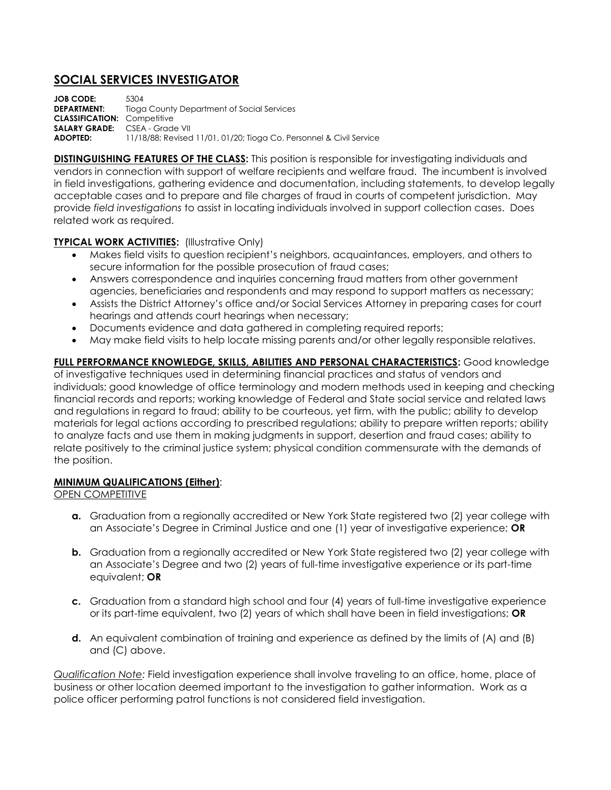# **SOCIAL SERVICES INVESTIGATOR**

**JOB CODE:** 5304<br>**DEPARTMENT:** Tiography **Tioga County Department of Social Services CLASSIFICATION:** Competitive **SALARY GRADE:** CSEA - Grade VII **ADOPTED:** 11/18/88; Revised 11/01, 01/20; Tioga Co. Personnel & Civil Service

**DISTINGUISHING FEATURES OF THE CLASS:** This position is responsible for investigating individuals and vendors in connection with support of welfare recipients and welfare fraud. The incumbent is involved in field investigations, gathering evidence and documentation, including statements, to develop legally acceptable cases and to prepare and file charges of fraud in courts of competent jurisdiction. May provide *field investigations* to assist in locating individuals involved in support collection cases. Does related work as required.

## **TYPICAL WORK ACTIVITIES:** (Illustrative Only)

- Makes field visits to question recipient's neighbors, acquaintances, employers, and others to secure information for the possible prosecution of fraud cases;
- Answers correspondence and inquiries concerning fraud matters from other government agencies, beneficiaries and respondents and may respond to support matters as necessary;
- Assists the District Attorney's office and/or Social Services Attorney in preparing cases for court hearings and attends court hearings when necessary;
- Documents evidence and data gathered in completing required reports;
- May make field visits to help locate missing parents and/or other legally responsible relatives.

**FULL PERFORMANCE KNOWLEDGE, SKILLS, ABILITIES AND PERSONAL CHARACTERISTICS:** Good knowledge of investigative techniques used in determining financial practices and status of vendors and individuals; good knowledge of office terminology and modern methods used in keeping and checking financial records and reports; working knowledge of Federal and State social service and related laws and regulations in regard to fraud; ability to be courteous, yet firm, with the public; ability to develop materials for legal actions according to prescribed regulations; ability to prepare written reports; ability to analyze facts and use them in making judgments in support, desertion and fraud cases; ability to relate positively to the criminal justice system; physical condition commensurate with the demands of the position.

#### **MINIMUM QUALIFICATIONS (Either)**:

#### OPEN COMPETITIVE

- **a.** Graduation from a regionally accredited or New York State registered two (2) year college with an Associate's Degree in Criminal Justice and one (1) year of investigative experience; **OR**
- **b.** Graduation from a regionally accredited or New York State registered two (2) year college with an Associate's Degree and two (2) years of full-time investigative experience or its part-time equivalent; **OR**
- **c.** Graduation from a standard high school and four (4) years of full-time investigative experience or its part-time equivalent, two (2) years of which shall have been in field investigations; **OR**
- **d.** An equivalent combination of training and experience as defined by the limits of (A) and (B) and (C) above.

*Qualification Note:* Field investigation experience shall involve traveling to an office, home, place of business or other location deemed important to the investigation to gather information. Work as a police officer performing patrol functions is not considered field investigation.